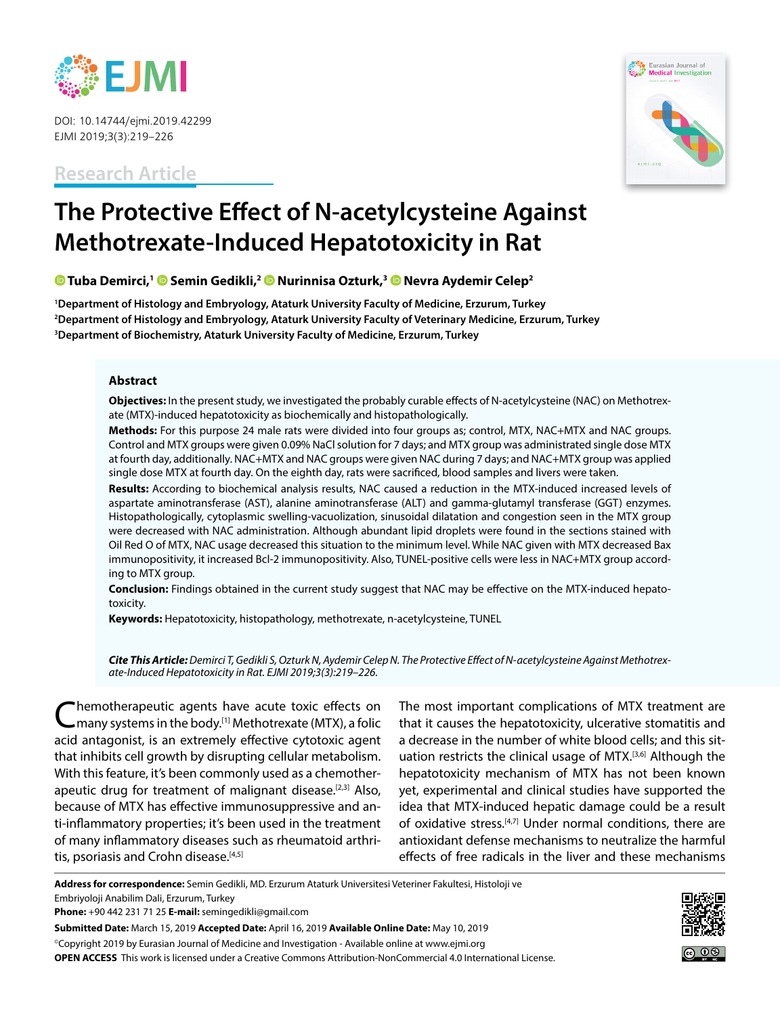

DOI: 10.14744/ejmi.2019.42299 EJMI 2019;3(3):219–226

**Research Article**



# **The Protective Effect of N-acetylcysteine Against Methotrexate-Induced Hepatotoxicity in Rat**

 **[T](https://orcid.org/0000-0002-8814-9648)uba Demirci,[1](https://orcid.org/0000-0001-8238-7226) Semin Gedikli,[2 N](https://orcid.org/0000-0002-7746-2700)urinnisa Ozturk,3Nevra Aydemir Celep2**

**1 Department of Histology and Embryology, Ataturk University Faculty of Medicine, Erzurum, Turkey 2 Department of Histology and Embryology, Ataturk University Faculty of Veterinary Medicine, Erzurum, Turkey 3 Department of Biochemistry, Ataturk University Faculty of Medicine, Erzurum, Turkey**

#### **Abstract**

**Objectives:** In the present study, we investigated the probably curable effects of N-acetylcysteine (NAC) on Methotrexate (MTX)-induced hepatotoxicity as biochemically and histopathologically.

**Methods:** For this purpose 24 male rats were divided into four groups as; control, MTX, NAC+MTX and NAC groups. Control and MTX groups were given 0.09% NaCl solution for 7 days; and MTX group was administrated single dose MTX at fourth day, additionally. NAC+MTX and NAC groups were given NAC during 7 days; and NAC+MTX group was applied single dose MTX at fourth day. On the eighth day, rats were sacrificed, blood samples and livers were taken.

**Results:** According to biochemical analysis results, NAC caused a reduction in the MTX-induced increased levels of aspartate aminotransferase (AST), alanine aminotransferase (ALT) and gamma-glutamyl transferase (GGT) enzymes. Histopathologically, cytoplasmic swelling-vacuolization, sinusoidal dilatation and congestion seen in the MTX group were decreased with NAC administration. Although abundant lipid droplets were found in the sections stained with Oil Red O of MTX, NAC usage decreased this situation to the minimum level. While NAC given with MTX decreased Bax immunopositivity, it increased Bcl-2 immunopositivity. Also, TUNEL-positive cells were less in NAC+MTX group according to MTX group.

**Conclusion:** Findings obtained in the current study suggest that NAC may be effective on the MTX-induced hepatotoxicity.

**Keywords:** Hepatotoxicity, histopathology, methotrexate, n-acetylcysteine, TUNEL

*Cite This Article: Demirci T, Gedikli S, Ozturk N, Aydemir Celep N. The Protective Effect of N-acetylcysteine Against Methotrexate-Induced Hepatotoxicity in Rat. EJMI 2019;3(3):219–226.*

Chemotherapeutic agents have acute toxic effects on C many systems in the body.<sup>[1]</sup> Methotrexate (MTX), a folic acid antagonist, is an extremely effective cytotoxic agent that inhibits cell growth by disrupting cellular metabolism. With this feature, it's been commonly used as a chemotherapeutic drug for treatment of malignant disease.<sup>[2,3]</sup> Also, because of MTX has effective immunosuppressive and anti-inflammatory properties; it's been used in the treatment of many inflammatory diseases such as rheumatoid arthritis, psoriasis and Crohn disease.<sup>[4,5]</sup>

The most important complications of MTX treatment are that it causes the hepatotoxicity, ulcerative stomatitis and a decrease in the number of white blood cells; and this situation restricts the clinical usage of MTX.[3,6] Although the hepatotoxicity mechanism of MTX has not been known yet, experimental and clinical studies have supported the idea that MTX-induced hepatic damage could be a result of oxidative stress.<sup>[4,7]</sup> Under normal conditions, there are antioxidant defense mechanisms to neutralize the harmful effects of free radicals in the liver and these mechanisms

**Address for correspondence:** Semin Gedikli, MD. Erzurum Ataturk Universitesi Veteriner Fakultesi, Histoloji ve Embriyoloji Anabilim Dali, Erzurum, Turkey

**Phone:** +90 442 231 71 25 **E-mail:** semingedikli@gmail.com

**Submitted Date:** March 15, 2019 **Accepted Date:** April 16, 2019 **Available Online Date:** May 10, 2019

©Copyright 2019 by Eurasian Journal of Medicine and Investigation - Available online at www.ejmi.org **OPEN ACCESS** This work is licensed under a Creative Commons Attribution-NonCommercial 4.0 International License.

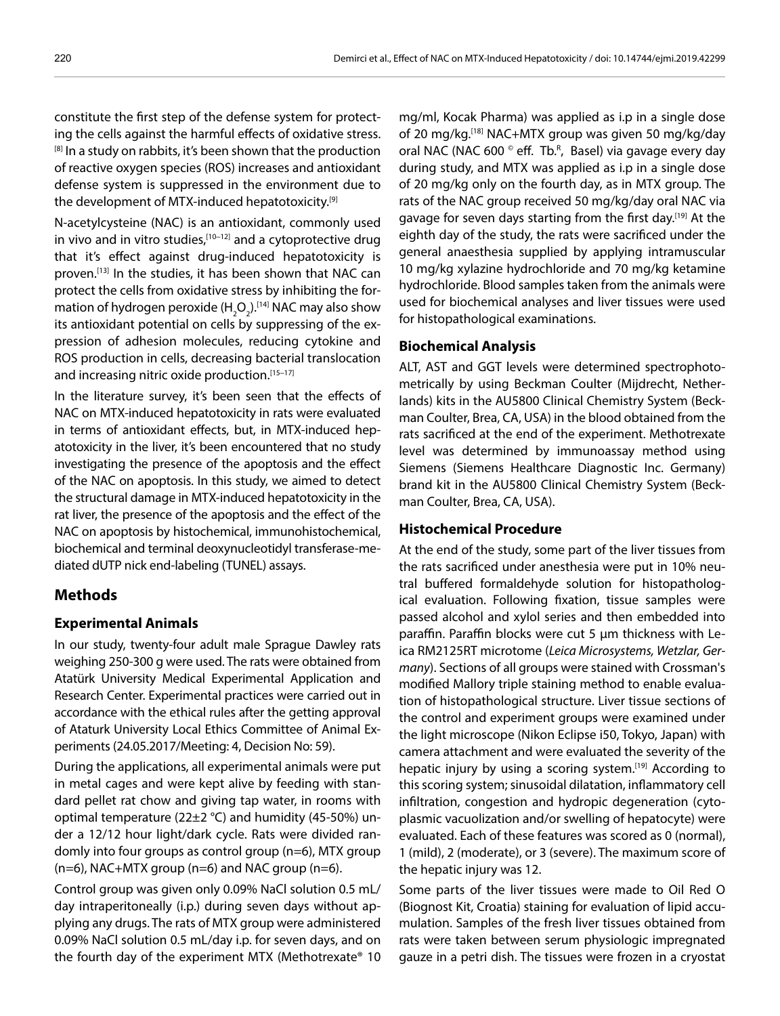constitute the first step of the defense system for protecting the cells against the harmful effects of oxidative stress. <sup>[8]</sup> In a study on rabbits, it's been shown that the production of reactive oxygen species (ROS) increases and antioxidant defense system is suppressed in the environment due to the development of MTX-induced hepatotoxicity.<sup>[9]</sup>

N-acetylcysteine (NAC) is an antioxidant, commonly used in vivo and in vitro studies.<sup>[10–12]</sup> and a cytoprotective drug that it's effect against drug-induced hepatotoxicity is proven.[13] In the studies, it has been shown that NAC can protect the cells from oxidative stress by inhibiting the formation of hydrogen peroxide (H<sub>2</sub>O<sub>2</sub>).<sup>[14]</sup> NAC may also show its antioxidant potential on cells by suppressing of the expression of adhesion molecules, reducing cytokine and ROS production in cells, decreasing bacterial translocation and increasing nitric oxide production.<sup>[15-17]</sup>

In the literature survey, it's been seen that the effects of NAC on MTX-induced hepatotoxicity in rats were evaluated in terms of antioxidant effects, but, in MTX-induced hepatotoxicity in the liver, it's been encountered that no study investigating the presence of the apoptosis and the effect of the NAC on apoptosis. In this study, we aimed to detect the structural damage in MTX-induced hepatotoxicity in the rat liver, the presence of the apoptosis and the effect of the NAC on apoptosis by histochemical, immunohistochemical, biochemical and terminal deoxynucleotidyl transferase-mediated dUTP nick end-labeling (TUNEL) assays.

# **Methods**

### **Experimental Animals**

In our study, twenty-four adult male Sprague Dawley rats weighing 250-300 g were used. The rats were obtained from Atatürk University Medical Experimental Application and Research Center. Experimental practices were carried out in accordance with the ethical rules after the getting approval of Ataturk University Local Ethics Committee of Animal Experiments (24.05.2017/Meeting: 4, Decision No: 59).

During the applications, all experimental animals were put in metal cages and were kept alive by feeding with standard pellet rat chow and giving tap water, in rooms with optimal temperature (22±2 °C) and humidity (45-50%) under a 12/12 hour light/dark cycle. Rats were divided randomly into four groups as control group (n=6), MTX group  $(n=6)$ , NAC+MTX group  $(n=6)$  and NAC group  $(n=6)$ .

Control group was given only 0.09% NaCl solution 0.5 mL/ day intraperitoneally (i.p.) during seven days without applying any drugs. The rats of MTX group were administered 0.09% NaCl solution 0.5 mL/day i.p. for seven days, and on the fourth day of the experiment MTX (Methotrexate® 10

mg/ml, Kocak Pharma) was applied as i.p in a single dose of 20 mg/kg.[18] NAC+MTX group was given 50 mg/kg/day oral NAC (NAC 600 ° eff. Tb.<sup>R</sup>, Basel) via gavage every day during study, and MTX was applied as i.p in a single dose of 20 mg/kg only on the fourth day, as in MTX group. The rats of the NAC group received 50 mg/kg/day oral NAC via gavage for seven days starting from the first day.<sup>[19]</sup> At the eighth day of the study, the rats were sacrificed under the general anaesthesia supplied by applying intramuscular 10 mg/kg xylazine hydrochloride and 70 mg/kg ketamine hydrochloride. Blood samples taken from the animals were used for biochemical analyses and liver tissues were used for histopathological examinations.

## **Biochemical Analysis**

ALT, AST and GGT levels were determined spectrophotometrically by using Beckman Coulter (Mijdrecht, Netherlands) kits in the AU5800 Clinical Chemistry System (Beckman Coulter, Brea, CA, USA) in the blood obtained from the rats sacrificed at the end of the experiment. Methotrexate level was determined by immunoassay method using Siemens (Siemens Healthcare Diagnostic Inc. Germany) brand kit in the AU5800 Clinical Chemistry System (Beckman Coulter, Brea, CA, USA).

### **Histochemical Procedure**

At the end of the study, some part of the liver tissues from the rats sacrificed under anesthesia were put in 10% neutral buffered formaldehyde solution for histopathological evaluation. Following fixation, tissue samples were passed alcohol and xylol series and then embedded into paraffin. Paraffin blocks were cut 5 μm thickness with Leica RM2125RT microtome (*Leica Microsystems, Wetzlar, Germany*). Sections of all groups were stained with Crossman's modified Mallory triple staining method to enable evaluation of histopathological structure. Liver tissue sections of the control and experiment groups were examined under the light microscope (Nikon Eclipse i50, Tokyo, Japan) with camera attachment and were evaluated the severity of the hepatic injury by using a scoring system.[19] According to this scoring system; sinusoidal dilatation, inflammatory cell infiltration, congestion and hydropic degeneration (cytoplasmic vacuolization and/or swelling of hepatocyte) were evaluated. Each of these features was scored as 0 (normal), 1 (mild), 2 (moderate), or 3 (severe). The maximum score of the hepatic injury was 12.

Some parts of the liver tissues were made to Oil Red O (Biognost Kit, Croatia) staining for evaluation of lipid accumulation. Samples of the fresh liver tissues obtained from rats were taken between serum physiologic impregnated gauze in a petri dish. The tissues were frozen in a cryostat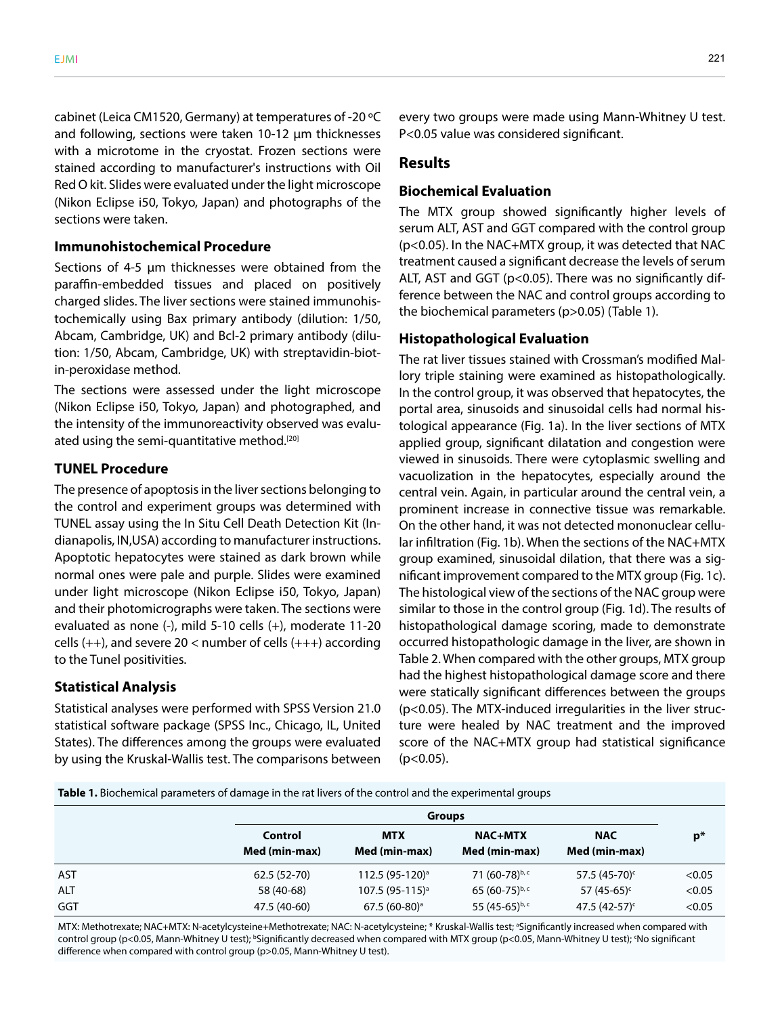cabinet (Leica CM1520, Germany) at temperatures of -20 ºC and following, sections were taken 10-12 μm thicknesses with a microtome in the cryostat. Frozen sections were stained according to manufacturer's instructions with Oil Red O kit. Slides were evaluated under the light microscope (Nikon Eclipse i50, Tokyo, Japan) and photographs of the sections were taken.

### **Immunohistochemical Procedure**

Sections of 4-5 μm thicknesses were obtained from the paraffin-embedded tissues and placed on positively charged slides. The liver sections were stained immunohistochemically using Bax primary antibody (dilution: 1/50, Abcam, Cambridge, UK) and Bcl-2 primary antibody (dilution: 1/50, Abcam, Cambridge, UK) with streptavidin-biotin-peroxidase method.

The sections were assessed under the light microscope (Nikon Eclipse i50, Tokyo, Japan) and photographed, and the intensity of the immunoreactivity observed was evaluated using the semi-quantitative method.<sup>[20]</sup>

#### **TUNEL Procedure**

The presence of apoptosis in the liver sections belonging to the control and experiment groups was determined with TUNEL assay using the In Situ Cell Death Detection Kit (Indianapolis, IN,USA) according to manufacturer instructions. Apoptotic hepatocytes were stained as dark brown while normal ones were pale and purple. Slides were examined under light microscope (Nikon Eclipse i50, Tokyo, Japan) and their photomicrographs were taken. The sections were evaluated as none (-), mild 5-10 cells (+), moderate 11-20 cells  $(++)$ , and severe 20 < number of cells  $(+++)$  according to the Tunel positivities.

#### **Statistical Analysis**

Statistical analyses were performed with SPSS Version 21.0 statistical software package (SPSS Inc., Chicago, IL, United States). The differences among the groups were evaluated by using the Kruskal-Wallis test. The comparisons between

every two groups were made using Mann-Whitney U test. P<0.05 value was considered significant.

#### **Results**

## **Biochemical Evaluation**

The MTX group showed significantly higher levels of serum ALT, AST and GGT compared with the control group (p<0.05). In the NAC+MTX group, it was detected that NAC treatment caused a significant decrease the levels of serum ALT, AST and GGT (p<0.05). There was no significantly difference between the NAC and control groups according to the biochemical parameters (p>0.05) (Table 1).

# **Histopathological Evaluation**

The rat liver tissues stained with Crossman's modified Mallory triple staining were examined as histopathologically. In the control group, it was observed that hepatocytes, the portal area, sinusoids and sinusoidal cells had normal histological appearance (Fig. 1a). In the liver sections of MTX applied group, significant dilatation and congestion were viewed in sinusoids. There were cytoplasmic swelling and vacuolization in the hepatocytes, especially around the central vein. Again, in particular around the central vein, a prominent increase in connective tissue was remarkable. On the other hand, it was not detected mononuclear cellular infiltration (Fig. 1b). When the sections of the NAC+MTX group examined, sinusoidal dilation, that there was a significant improvement compared to the MTX group (Fig. 1c). The histological view of the sections of the NAC group were similar to those in the control group (Fig. 1d). The results of histopathological damage scoring, made to demonstrate occurred histopathologic damage in the liver, are shown in Table 2. When compared with the other groups, MTX group had the highest histopathological damage score and there were statically significant differences between the groups (p<0.05). The MTX-induced irregularities in the liver structure were healed by NAC treatment and the improved score of the NAC+MTX group had statistical significance  $(p<0.05)$ .

**Table 1.** Biochemical parameters of damage in the rat livers of the control and the experimental groups

|            | <b>Groups</b>            |                             |                                 |                             |        |
|------------|--------------------------|-----------------------------|---------------------------------|-----------------------------|--------|
|            | Control<br>Med (min-max) | <b>MTX</b><br>Med (min-max) | <b>NAC+MTX</b><br>Med (min-max) | <b>NAC</b><br>Med (min-max) | $p*$   |
| AST        | 62.5 (52-70)             | 112.5 (95-120) <sup>a</sup> | 71 (60-78)b, c                  | 57.5 $(45-70)^c$            | < 0.05 |
| <b>ALT</b> | 58 (40-68)               | $107.5(95-115)^{a}$         | 65 $(60-75)^{b,c}$              | 57 $(45-65)^c$              | < 0.05 |
| GGT        | 47.5 (40-60)             | $67.5(60-80)$ <sup>a</sup>  | 55 $(45-65)^{b,c}$              | 47.5 $(42-57)^c$            | < 0.05 |

MTX: Methotrexate; NAC+MTX: N-acetylcysteine+Methotrexate; NAC: N-acetylcysteine; \* Kruskal-Wallis test; <sup>a</sup>Significantly increased when compared with control group (p<0.05, Mann-Whitney U test); <sup>b</sup>Significantly decreased when compared with MTX group (p<0.05, Mann-Whitney U test); 'No significant difference when compared with control group (p>0.05, Mann-Whitney U test).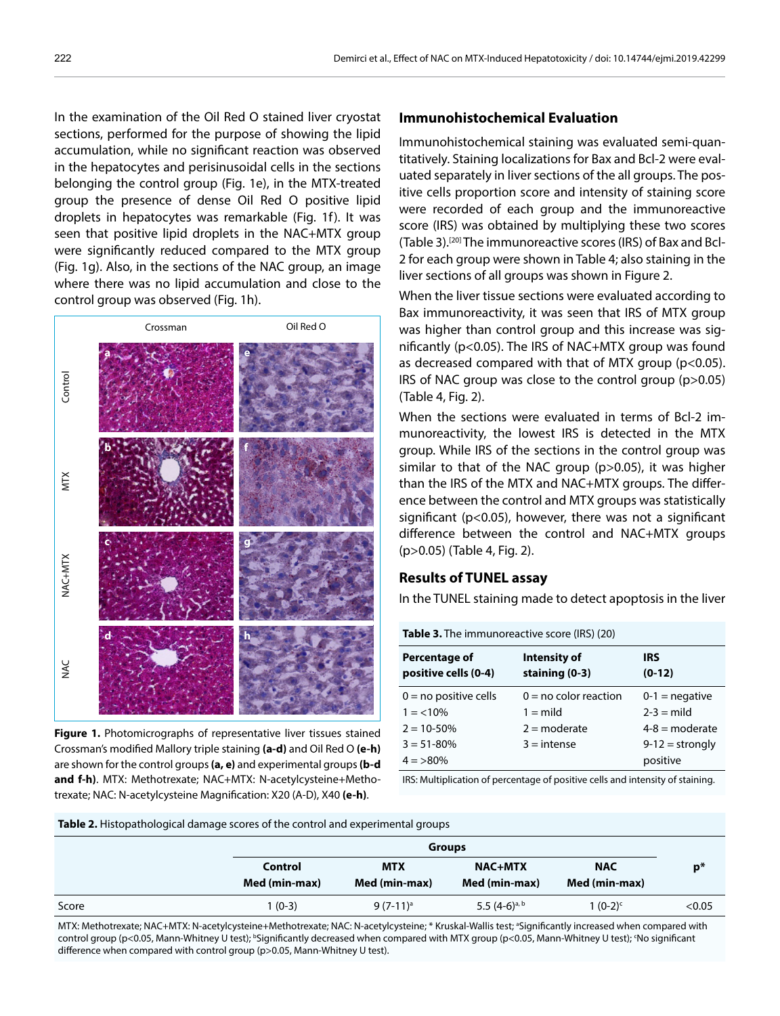In the examination of the Oil Red O stained liver cryostat sections, performed for the purpose of showing the lipid accumulation, while no significant reaction was observed in the hepatocytes and perisinusoidal cells in the sections belonging the control group (Fig. 1e), in the MTX-treated group the presence of dense Oil Red O positive lipid droplets in hepatocytes was remarkable (Fig. 1f). It was seen that positive lipid droplets in the NAC+MTX group were significantly reduced compared to the MTX group (Fig. 1g). Also, in the sections of the NAC group, an image where there was no lipid accumulation and close to the control group was observed (Fig. 1h).



**Figure 1.** Photomicrographs of representative liver tissues stained Crossman's modified Mallory triple staining **(a-d)** and Oil Red O **(e-h)** are shown for the control groups **(a, e)** and experimental groups **(b-d and f-h)**. MTX: Methotrexate; NAC+MTX: N-acetylcysteine+Methotrexate; NAC: N-acetylcysteine Magnification: X20 (A-D), X40 **(e-h)**.

#### **Immunohistochemical Evaluation**

Immunohistochemical staining was evaluated semi-quantitatively. Staining localizations for Bax and Bcl-2 were evaluated separately in liver sections of the all groups. The positive cells proportion score and intensity of staining score were recorded of each group and the immunoreactive score (IRS) was obtained by multiplying these two scores (Table 3).[20] The immunoreactive scores (IRS) of Bax and Bcl-2 for each group were shown in Table 4; also staining in the liver sections of all groups was shown in Figure 2.

When the liver tissue sections were evaluated according to Bax immunoreactivity, it was seen that IRS of MTX group was higher than control group and this increase was significantly (p<0.05). The IRS of NAC+MTX group was found as decreased compared with that of MTX group ( $p$ <0.05). IRS of NAC group was close to the control group (p>0.05) (Table 4, Fig. 2).

When the sections were evaluated in terms of Bcl-2 immunoreactivity, the lowest IRS is detected in the MTX group. While IRS of the sections in the control group was similar to that of the NAC group (p>0.05), it was higher than the IRS of the MTX and NAC+MTX groups. The difference between the control and MTX groups was statistically significant ( $p < 0.05$ ), however, there was not a significant difference between the control and NAC+MTX groups (p>0.05) (Table 4, Fig. 2).

## **Results of TUNEL assay**

In the TUNEL staining made to detect apoptosis in the liver

| <b>Table 3.</b> The immunoreactive score (IRS) (20) |                                |                        |  |  |
|-----------------------------------------------------|--------------------------------|------------------------|--|--|
| Percentage of<br>positive cells (0-4)               | Intensity of<br>staining (0-3) | <b>IRS</b><br>$(0-12)$ |  |  |
| $0 = no$ positive cells                             | $0 = no$ color reaction        | $0-1$ = negative       |  |  |
| $1 = 10\%$                                          | $1 =$ mild                     | $2-3 =$ mild           |  |  |
| $2 = 10 - 50\%$                                     | $2 =$ moderate                 | $4-8$ = moderate       |  |  |
| $3 = 51 - 80%$                                      | $3 =$ intense                  | $9-12 =$ strongly      |  |  |
| $4 = >80\%$                                         |                                | positive               |  |  |

IRS: Multiplication of percentage of positive cells and intensity of staining.

**Table 2.** Histopathological damage scores of the control and experimental groups

| <b>Groups</b> |               |                    |               |               |
|---------------|---------------|--------------------|---------------|---------------|
| Control       | <b>MTX</b>    | <b>NAC+MTX</b>     | <b>NAC</b>    | $p*$          |
|               |               |                    |               |               |
| 1 (0-3)       | $9(7-11)^a$   | 5.5 $(4-6)^{a, b}$ | $1(0-2)^{c}$  | < 0.05        |
|               | Med (min-max) | Med (min-max)      | Med (min-max) | Med (min-max) |

MTX: Methotrexate; NAC+MTX: N-acetylcysteine+Methotrexate; NAC: N-acetylcysteine; \* Kruskal-Wallis test; <sup>a</sup>Significantly increased when compared with control group (p<0.05, Mann-Whitney U test); <sup>b</sup>Significantly decreased when compared with MTX group (p<0.05, Mann-Whitney U test); 'No significant difference when compared with control group (p>0.05, Mann-Whitney U test).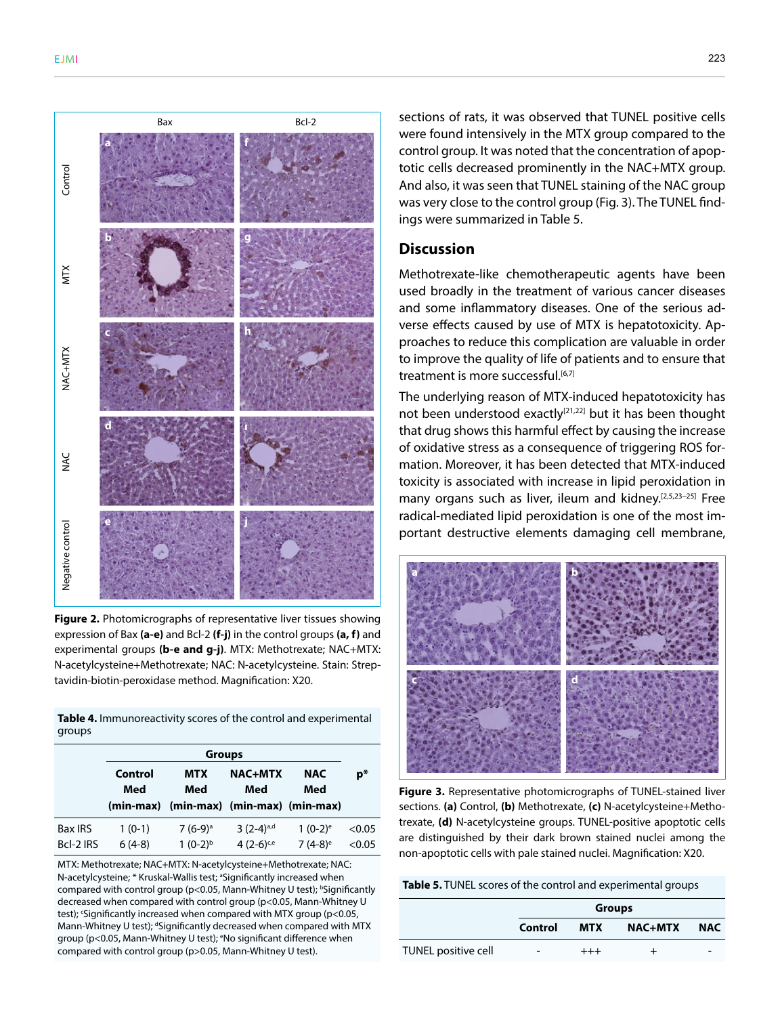

**Figure 2.** Photomicrographs of representative liver tissues showing expression of Bax **(a-e)** and Bcl-2 **(f-j)** in the control groups **(a, f)** and experimental groups **(b-e and g-j)**. MTX: Methotrexate; NAC+MTX: N-acetylcysteine+Methotrexate; NAC: N-acetylcysteine. Stain: Streptavidin-biotin-peroxidase method. Magnification: X20.

**Table 4.** Immunoreactivity scores of the control and experimental groups

|                | <b>Groups</b>  |                                         |                       |                       |        |
|----------------|----------------|-----------------------------------------|-----------------------|-----------------------|--------|
|                | Control<br>Med | <b>MTX</b><br>Med                       | <b>NAC+MTX</b><br>Med | <b>NAC</b><br>Med     | $p*$   |
|                |                | (min-max) (min-max) (min-max) (min-max) |                       |                       |        |
| <b>Bax IRS</b> | $1(0-1)$       | $7(6-9)$ <sup>a</sup>                   | $3(2-4)^{a,d}$        | $1(0-2)^e$            | < 0.05 |
| Bcl-2 IRS      | $6(4-8)$       | $1(0-2)^{b}$                            | $4(2-6)^{c,e}$        | $7(4-8)$ <sup>e</sup> | < 0.05 |

MTX: Methotrexate; NAC+MTX: N-acetylcysteine+Methotrexate; NAC: N-acetylcysteine; \* Kruskal-Wallis test; <sup>a</sup>Significantly increased when compared with control group (p<0.05, Mann-Whitney U test);  $b$ Significantly decreased when compared with control group (p<0.05, Mann-Whitney U test); 'Significantly increased when compared with MTX group (p<0.05, Mann-Whitney U test); <sup>d</sup>Significantly decreased when compared with MTX group (p<0.05, Mann-Whitney U test); <sup>e</sup>No significant difference when compared with control group (p>0.05, Mann-Whitney U test).

sections of rats, it was observed that TUNEL positive cells were found intensively in the MTX group compared to the control group. It was noted that the concentration of apoptotic cells decreased prominently in the NAC+MTX group. And also, it was seen that TUNEL staining of the NAC group was very close to the control group (Fig. 3). The TUNEL findings were summarized in Table 5.

# **Discussion**

Methotrexate-like chemotherapeutic agents have been used broadly in the treatment of various cancer diseases and some inflammatory diseases. One of the serious adverse effects caused by use of MTX is hepatotoxicity. Approaches to reduce this complication are valuable in order to improve the quality of life of patients and to ensure that treatment is more successful.<sup>[6,7]</sup>

The underlying reason of MTX-induced hepatotoxicity has not been understood exactly<sup>[21,22]</sup> but it has been thought that drug shows this harmful effect by causing the increase of oxidative stress as a consequence of triggering ROS formation. Moreover, it has been detected that MTX-induced toxicity is associated with increase in lipid peroxidation in many organs such as liver, ileum and kidney.[2,5,23–25] Free radical-mediated lipid peroxidation is one of the most important destructive elements damaging cell membrane,



**Figure 3.** Representative photomicrographs of TUNEL-stained liver sections. **(a)** Control, **(b)** Methotrexate, **(c)** N-acetylcysteine+Methotrexate, **(d)** N-acetylcysteine groups. TUNEL-positive apoptotic cells are distinguished by their dark brown stained nuclei among the non-apoptotic cells with pale stained nuclei. Magnification: X20.

**Table 5.** TUNEL scores of the control and experimental groups

|                     | <b>Groups</b>            |            |                |            |
|---------------------|--------------------------|------------|----------------|------------|
|                     | Control                  | <b>MTX</b> | <b>NAC+MTX</b> | <b>NAC</b> |
| TUNEL positive cell | $\overline{\phantom{0}}$ | $^{+++}$   |                |            |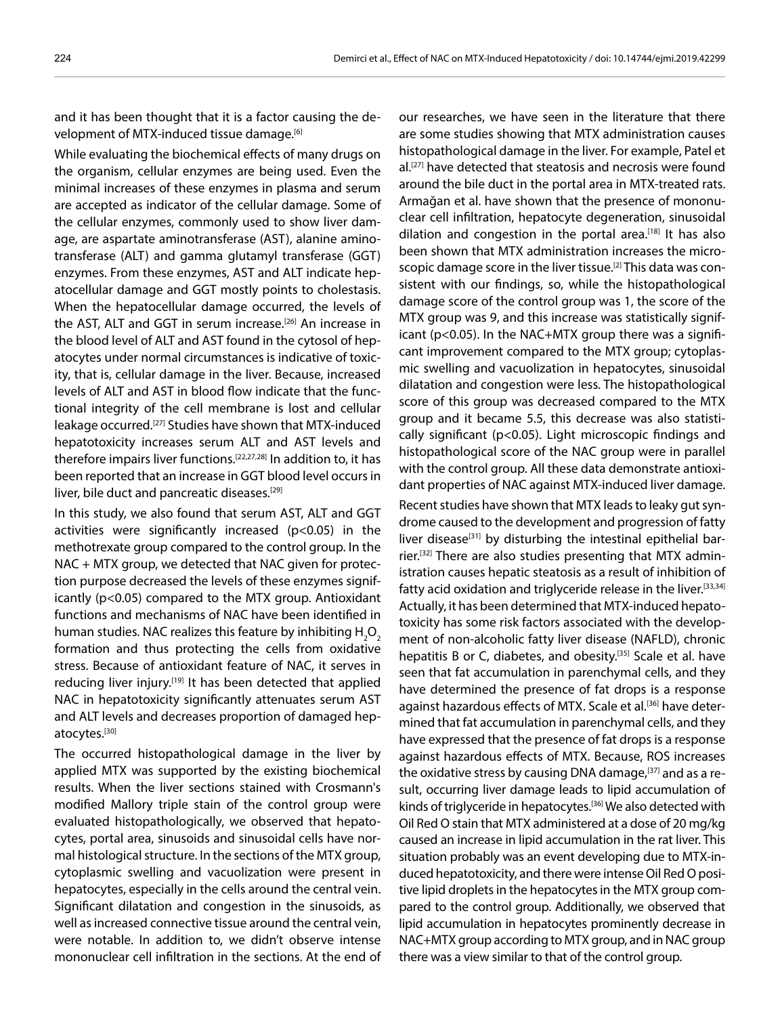and it has been thought that it is a factor causing the development of MTX-induced tissue damage.<sup>[6]</sup>

While evaluating the biochemical effects of many drugs on the organism, cellular enzymes are being used. Even the minimal increases of these enzymes in plasma and serum are accepted as indicator of the cellular damage. Some of the cellular enzymes, commonly used to show liver damage, are aspartate aminotransferase (AST), alanine aminotransferase (ALT) and gamma glutamyl transferase (GGT) enzymes. From these enzymes, AST and ALT indicate hepatocellular damage and GGT mostly points to cholestasis. When the hepatocellular damage occurred, the levels of the AST, ALT and GGT in serum increase.<sup>[26]</sup> An increase in the blood level of ALT and AST found in the cytosol of hepatocytes under normal circumstances is indicative of toxicity, that is, cellular damage in the liver. Because, increased levels of ALT and AST in blood flow indicate that the functional integrity of the cell membrane is lost and cellular leakage occurred.[27] Studies have shown that MTX-induced hepatotoxicity increases serum ALT and AST levels and therefore impairs liver functions.<sup>[22,27,28]</sup> In addition to, it has been reported that an increase in GGT blood level occurs in liver, bile duct and pancreatic diseases.<sup>[29]</sup>

In this study, we also found that serum AST, ALT and GGT activities were significantly increased (p<0.05) in the methotrexate group compared to the control group. In the NAC + MTX group, we detected that NAC given for protection purpose decreased the levels of these enzymes significantly (p<0.05) compared to the MTX group. Antioxidant functions and mechanisms of NAC have been identified in human studies. NAC realizes this feature by inhibiting  $\mathsf{H}_{\mathsf{2}}\mathsf{O}_{\mathsf{2}}$ formation and thus protecting the cells from oxidative stress. Because of antioxidant feature of NAC, it serves in reducing liver injury.<sup>[19]</sup> It has been detected that applied NAC in hepatotoxicity significantly attenuates serum AST and ALT levels and decreases proportion of damaged hepatocytes.[30]

The occurred histopathological damage in the liver by applied MTX was supported by the existing biochemical results. When the liver sections stained with Crosmann's modified Mallory triple stain of the control group were evaluated histopathologically, we observed that hepatocytes, portal area, sinusoids and sinusoidal cells have normal histological structure. In the sections of the MTX group, cytoplasmic swelling and vacuolization were present in hepatocytes, especially in the cells around the central vein. Significant dilatation and congestion in the sinusoids, as well as increased connective tissue around the central vein, were notable. In addition to, we didn't observe intense mononuclear cell infiltration in the sections. At the end of

our researches, we have seen in the literature that there are some studies showing that MTX administration causes histopathological damage in the liver. For example, Patel et al.<sup>[27]</sup> have detected that steatosis and necrosis were found around the bile duct in the portal area in MTX-treated rats. Armağan et al. have shown that the presence of mononuclear cell infiltration, hepatocyte degeneration, sinusoidal dilation and congestion in the portal area.[18] It has also been shown that MTX administration increases the microscopic damage score in the liver tissue.[2] This data was consistent with our findings, so, while the histopathological damage score of the control group was 1, the score of the MTX group was 9, and this increase was statistically significant (p<0.05). In the NAC+MTX group there was a significant improvement compared to the MTX group; cytoplasmic swelling and vacuolization in hepatocytes, sinusoidal dilatation and congestion were less. The histopathological score of this group was decreased compared to the MTX group and it became 5.5, this decrease was also statistically significant (p<0.05). Light microscopic findings and histopathological score of the NAC group were in parallel with the control group. All these data demonstrate antioxidant properties of NAC against MTX-induced liver damage.

Recent studies have shown that MTX leads to leaky gut syndrome caused to the development and progression of fatty liver disease $[31]$  by disturbing the intestinal epithelial barrier.[32] There are also studies presenting that MTX administration causes hepatic steatosis as a result of inhibition of fatty acid oxidation and triglyceride release in the liver.[33,34] Actually, it has been determined that MTX-induced hepatotoxicity has some risk factors associated with the development of non-alcoholic fatty liver disease (NAFLD), chronic hepatitis B or C, diabetes, and obesity.<sup>[35]</sup> Scale et al. have seen that fat accumulation in parenchymal cells, and they have determined the presence of fat drops is a response against hazardous effects of MTX. Scale et al.<sup>[36]</sup> have determined that fat accumulation in parenchymal cells, and they have expressed that the presence of fat drops is a response against hazardous effects of MTX. Because, ROS increases the oxidative stress by causing DNA damage,[37] and as a result, occurring liver damage leads to lipid accumulation of kinds of triglyceride in hepatocytes.<sup>[36]</sup> We also detected with Oil Red O stain that MTX administered at a dose of 20 mg/kg caused an increase in lipid accumulation in the rat liver. This situation probably was an event developing due to MTX-induced hepatotoxicity, and there were intense Oil Red O positive lipid droplets in the hepatocytes in the MTX group compared to the control group. Additionally, we observed that lipid accumulation in hepatocytes prominently decrease in NAC+MTX group according to MTX group, and in NAC group there was a view similar to that of the control group.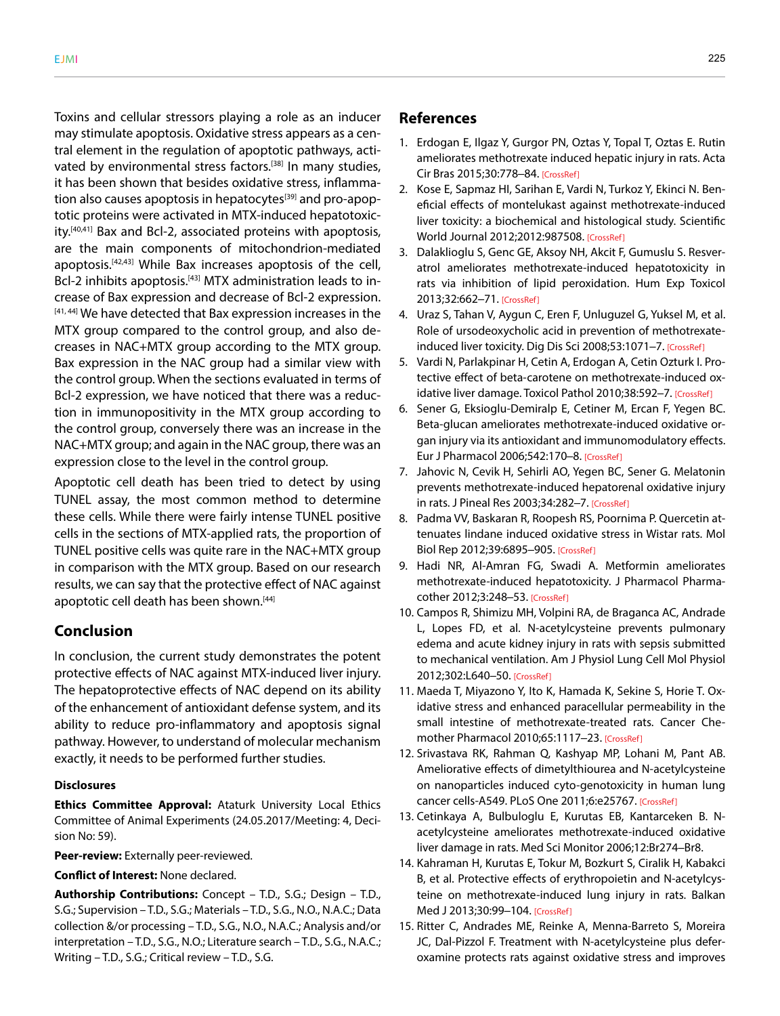Toxins and cellular stressors playing a role as an inducer may stimulate apoptosis. Oxidative stress appears as a central element in the regulation of apoptotic pathways, activated by environmental stress factors.<sup>[38]</sup> In many studies, it has been shown that besides oxidative stress, inflammation also causes apoptosis in hepatocytes<sup>[39]</sup> and pro-apoptotic proteins were activated in MTX-induced hepatotoxicity.<sup>[40,41]</sup> Bax and Bcl-2, associated proteins with apoptosis, are the main components of mitochondrion-mediated apoptosis.[42,43] While Bax increases apoptosis of the cell, Bcl-2 inhibits apoptosis.<sup>[43]</sup> MTX administration leads to increase of Bax expression and decrease of Bcl-2 expression. [41,44] We have detected that Bax expression increases in the MTX group compared to the control group, and also decreases in NAC+MTX group according to the MTX group. Bax expression in the NAC group had a similar view with the control group. When the sections evaluated in terms of Bcl-2 expression, we have noticed that there was a reduction in immunopositivity in the MTX group according to the control group, conversely there was an increase in the NAC+MTX group; and again in the NAC group, there was an expression close to the level in the control group.

Apoptotic cell death has been tried to detect by using TUNEL assay, the most common method to determine these cells. While there were fairly intense TUNEL positive cells in the sections of MTX-applied rats, the proportion of TUNEL positive cells was quite rare in the NAC+MTX group in comparison with the MTX group. Based on our research results, we can say that the protective effect of NAC against apoptotic cell death has been shown.<sup>[44]</sup>

# **Conclusion**

In conclusion, the current study demonstrates the potent protective effects of NAC against MTX-induced liver injury. The hepatoprotective effects of NAC depend on its ability of the enhancement of antioxidant defense system, and its ability to reduce pro-inflammatory and apoptosis signal pathway. However, to understand of molecular mechanism exactly, it needs to be performed further studies.

#### **Disclosures**

**Ethics Committee Approval:** Ataturk University Local Ethics Committee of Animal Experiments (24.05.2017/Meeting: 4, Decision No: 59).

**Peer-review:** Externally peer-reviewed.

#### **Conflict of Interest:** None declared.

**Authorship Contributions:** Concept – T.D., S.G.; Design – T.D., S.G.; Supervision – T.D., S.G.; Materials – T.D., S.G., N.O., N.A.C.; Data collection &/or processing – T.D., S.G., N.O., N.A.C.; Analysis and/or interpretation – T.D., S.G., N.O.; Literature search – T.D., S.G., N.A.C.; Writing – T.D., S.G.; Critical review – T.D., S.G.

#### **References**

- 1. Erdogan E, Ilgaz Y, Gurgor PN, Oztas Y, Topal T, Oztas E. Rutin ameliorates methotrexate induced hepatic injury in rats. Acta Cir Bras 2015;30:778–8[4. \[CrossRef\]](https://doi.org/10.1590/S0102-865020150110000009)
- 2. Kose E, Sapmaz HI, Sarihan E, Vardi N, Turkoz Y, Ekinci N. Beneficial effects of montelukast against methotrexate-induced liver toxicity: a biochemical and histological study. Scientific World Journal 2012;2012:9875[08. \[CrossRef\]](https://doi.org/10.1100/2012/987508)
- 3. Dalaklioglu S, Genc GE, Aksoy NH, Akcit F, Gumuslu S. Resveratrol ameliorates methotrexate-induced hepatotoxicity in rats via inhibition of lipid peroxidation. Hum Exp Toxicol 2013;32:662–[71. \[CrossRef\]](https://doi.org/10.1177/0960327112468178)
- 4. Uraz S, Tahan V, Aygun C, Eren F, Unluguzel G, Yuksel M, et al. Role of ursodeoxycholic acid in prevention of methotrexate-induced liver toxicity. Dig Dis Sci 2008;53:1071-[7. \[CrossRef\]](https://doi.org/10.1007/s10620-007-9949-3)
- 5. Vardi N, Parlakpinar H, Cetin A, Erdogan A, Cetin Ozturk I. Protective effect of beta-carotene on methotrexate-induced ox-idative liver damage. Toxicol Pathol 2010;38:592-[7. \[CrossRef\]](https://doi.org/10.1177/0192623310367806)
- 6. Sener G, Eksioglu-Demiralp E, Cetiner M, Ercan F, Yegen BC. Beta-glucan ameliorates methotrexate-induced oxidative organ injury via its antioxidant and immunomodulatory effects. Eur J Pharmacol 2006;542:170–[8. \[CrossRef\]](https://doi.org/10.1016/j.ejphar.2006.02.056)
- 7. Jahovic N, Cevik H, Sehirli AO, Yegen BC, Sener G. Melatonin prevents methotrexate-induced hepatorenal oxidative injury in rats. J Pineal Res 2003;34:282–[7. \[CrossRef\]](https://doi.org/10.1034/j.1600-079X.2003.00043.x)
- 8. Padma VV, Baskaran R, Roopesh RS, Poornima P. Quercetin attenuates lindane induced oxidative stress in Wistar rats. Mol Biol Rep 2012;39:6895–9[05. \[CrossRef\]](https://doi.org/10.1007/s11033-012-1516-0)
- 9. Hadi NR, Al-Amran FG, Swadi A. Metformin ameliorates methotrexate-induced hepatotoxicity. J Pharmacol Pharmacother 2012;3:248–[53. \[CrossRef\]](https://doi.org/10.4103/0976-500X.99426)
- 10. Campos R, Shimizu MH, Volpini RA, de Braganca AC, Andrade L, Lopes FD, et al. N-acetylcysteine prevents pulmonary edema and acute kidney injury in rats with sepsis submitted to mechanical ventilation. Am J Physiol Lung Cell Mol Physiol 2012;302:L640–[50. \[CrossRef\]](https://doi.org/10.1152/ajplung.00097.2011)
- 11. Maeda T, Miyazono Y, Ito K, Hamada K, Sekine S, Horie T. Oxidative stress and enhanced paracellular permeability in the small intestine of methotrexate-treated rats. Cancer Che-mother Pharmacol 2010;65:1117-2[3. \[CrossRef\]](https://doi.org/10.1007/s00280-009-1119-1)
- 12. Srivastava RK, Rahman Q, Kashyap MP, Lohani M, Pant AB. Ameliorative effects of dimetylthiourea and N-acetylcysteine on nanoparticles induced cyto-genotoxicity in human lung cancer cells-A549. PLoS One 2011;6:e2576[7. \[CrossRef\]](https://doi.org/10.1371/journal.pone.0025767)
- 13. Cetinkaya A, Bulbuloglu E, Kurutas EB, Kantarceken B. Nacetylcysteine ameliorates methotrexate-induced oxidative liver damage in rats. Med Sci Monitor 2006;12:Br274–Br8.
- 14. Kahraman H, Kurutas E, Tokur M, Bozkurt S, Ciralik H, Kabakci B, et al. Protective effects of erythropoietin and N-acetylcysteine on methotrexate-induced lung injury in rats. Balkan Med J 2013;30:99–1[04. \[CrossRef\]](https://doi.org/10.5152/balkanmedj.2012.078)
- 15. Ritter C, Andrades ME, Reinke A, Menna-Barreto S, Moreira JC, Dal-Pizzol F. Treatment with N-acetylcysteine plus deferoxamine protects rats against oxidative stress and improves